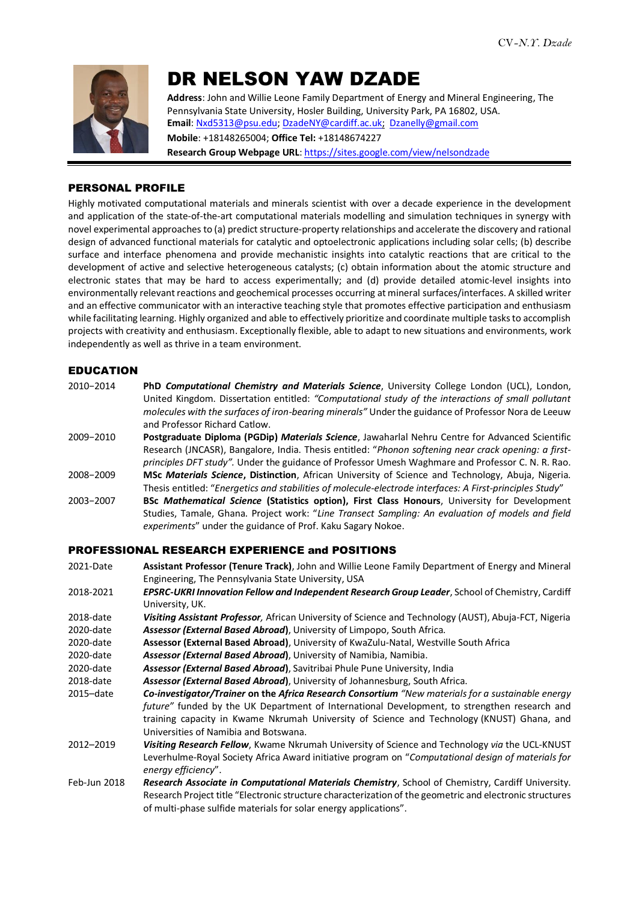

# DR NELSON YAW DZADE

**Address**: John and Willie Leone Family Department of Energy and Mineral Engineering, The Pennsylvania State University, Hosler Building, University Park, PA 16802, USA. **Email**: [Nxd5313@psu.edu;](mailto:Nxd5313@psu.edu) [DzadeNY@cardiff.ac.uk;](mailto:DzadeNY@cardiff.ac.uk) [Dzanelly@gmail.com](mailto:Dzanelly@gmail.com)

**Mobile**: +18148265004; **Office Tel:** +18148674227 **Research Group Webpage URL**[: https://sites.google.com/view/nelsondzade](https://sites.google.com/view/nelsondzade)

#### PERSONAL PROFILE

Highly motivated computational materials and minerals scientist with over a decade experience in the development and application of the state-of-the-art computational materials modelling and simulation techniques in synergy with novel experimental approaches to (a) predict structure-property relationships and accelerate the discovery and rational design of advanced functional materials for catalytic and optoelectronic applications including solar cells; (b) describe surface and interface phenomena and provide mechanistic insights into catalytic reactions that are critical to the development of active and selective heterogeneous catalysts; (c) obtain information about the atomic structure and electronic states that may be hard to access experimentally; and (d) provide detailed atomic-level insights into environmentally relevant reactions and geochemical processes occurring at mineral surfaces/interfaces. A skilled writer and an effective communicator with an interactive teaching style that promotes effective participation and enthusiasm while facilitating learning. Highly organized and able to effectively prioritize and coordinate multiple tasks to accomplish projects with creativity and enthusiasm. Exceptionally flexible, able to adapt to new situations and environments, work independently as well as thrive in a team environment.

#### EDUCATION

| 2010-2014 | PhD Computational Chemistry and Materials Science, University College London (UCL), London,                                                                                                               |
|-----------|-----------------------------------------------------------------------------------------------------------------------------------------------------------------------------------------------------------|
|           | United Kingdom. Dissertation entitled: "Computational study of the interactions of small pollutant<br>molecules with the surfaces of iron-bearing minerals" Under the guidance of Professor Nora de Leeuw |
|           | and Professor Richard Catlow.                                                                                                                                                                             |
| 2009-2010 | Postgraduate Diploma (PGDip) Materials Science, Jawaharlal Nehru Centre for Advanced Scientific                                                                                                           |
|           | Research (JNCASR), Bangalore, India. Thesis entitled: "Phonon softening near crack opening: a first-                                                                                                      |
|           | principles DFT study". Under the guidance of Professor Umesh Waghmare and Professor C. N. R. Rao.                                                                                                         |
| 2008-2009 | MSc Materials Science Distinction African University of Science and Technology Abuja Nigeria                                                                                                              |

- 2008−2009 **MSc** *Materials Science***, Distinction**, African University of Science and Technology, Abuja, Nigeria. Thesis entitled: "*Energetics and stabilities of molecule-electrode interfaces: A First-principles Study*"
- 2003−2007 **BSc** *Mathematical Science* **(Statistics option), First Class Honours**, University for Development Studies, Tamale, Ghana. Project work: "*Line Transect Sampling: An evaluation of models and field experiments*" under the guidance of Prof. Kaku Sagary Nokoe.

# PROFESSIONAL RESEARCH EXPERIENCE and POSITIONS

- 2021-Date **Assistant Professor (Tenure Track)**, John and Willie Leone Family Department of Energy and Mineral Engineering, The Pennsylvania State University, USA
- 2018-2021 *EPSRC-UKRI Innovation Fellow and Independent Research Group Leader*, School of Chemistry, Cardiff University, UK.
- 2018-date *Visiting Assistant Professor,* African University of Science and Technology (AUST), Abuja-FCT, Nigeria 2020-date *Assessor (External Based Abroad***)**, University of Limpopo, South Africa.
- 2020-date **Assessor (External Based Abroad)**, University of KwaZulu-Natal, Westville South Africa
- 2020-date *Assessor (External Based Abroad***)**, University of Namibia, Namibia.
- 2020-date *Assessor (External Based Abroad***)**, Savitribai Phule Pune University, India
- 2018-date *Assessor (External Based Abroad***)**, University of Johannesburg, South Africa.
- 2015–date *Co-investigator/Trainer* **on the** *Africa Research Consortium "New materials for a sustainable energy future"* funded by the UK Department of International Development, to strengthen research and training capacity in Kwame Nkrumah University of Science and Technology (KNUST) Ghana, and Universities of Namibia and Botswana.
- 2012–2019 *Visiting Research Fellow*, Kwame Nkrumah University of Science and Technology *via* the UCL-KNUST Leverhulme-Royal Society Africa Award initiative program on "*Computational design of materials for energy efficiency*".
- Feb-Jun 2018 *Research Associate in Computational Materials Chemistry*, School of Chemistry, Cardiff University. Research Project title "Electronic structure characterization of the geometric and electronic structures of multi-phase sulfide materials for solar energy applications".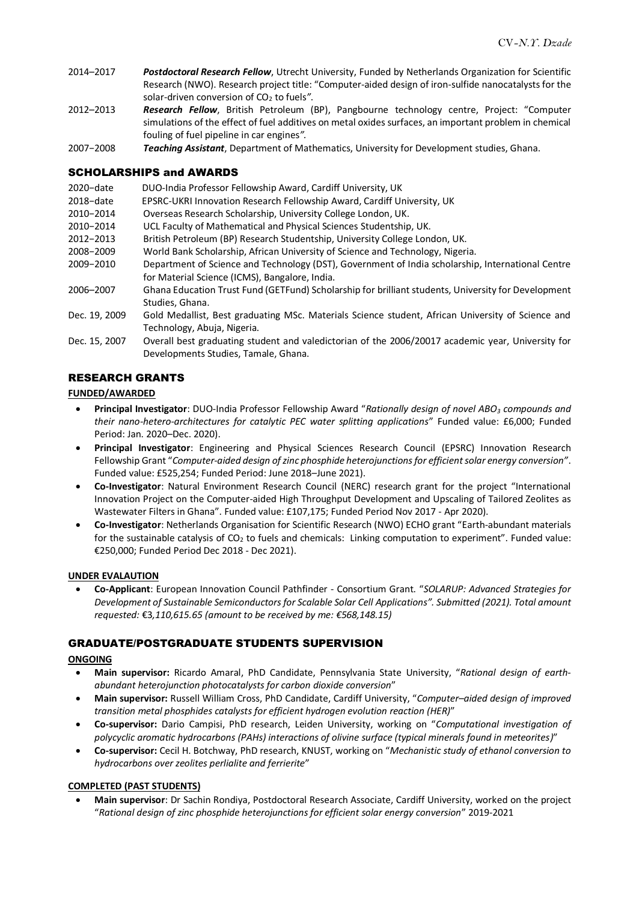- 2014–2017 *Postdoctoral Research Fellow*, Utrecht University, Funded by Netherlands Organization for Scientific Research (NWO). Research project title: "Computer-aided design of iron-sulfide nanocatalysts for the solar-driven conversion of CO<sub>2</sub> to fuels".
- 2012–2013 *Research Fellow*, British Petroleum (BP), Pangbourne technology centre, Project: "Computer simulations of the effect of fuel additives on metal oxides surfaces, an important problem in chemical fouling of fuel pipeline in car engines*".*
- 2007−2008 *Teaching Assistant*, Department of Mathematics, University for Development studies, Ghana.

#### SCHOLARSHIPS and AWARDS

- 2020−date DUO-India Professor Fellowship Award, Cardiff University, UK
- 2018−date EPSRC-UKRI Innovation Research Fellowship Award, Cardiff University, UK
- 2010−2014 Overseas Research Scholarship, University College London, UK.
- 2010−2014 UCL Faculty of Mathematical and Physical Sciences Studentship, UK.
- 2012−2013 British Petroleum (BP) Research Studentship, University College London, UK.
- 2008−2009 World Bank Scholarship, African University of Science and Technology, Nigeria.
- 2009−2010 Department of Science and Technology (DST), Government of India scholarship, International Centre for Material Science (ICMS), Bangalore, India.
- 2006–2007 Ghana Education Trust Fund (GETFund) Scholarship for brilliant students, University for Development Studies, Ghana.
- Dec. 19, 2009 Gold Medallist, Best graduating MSc. Materials Science student, African University of Science and Technology, Abuja, Nigeria.
- Dec. 15, 2007 Overall best graduating student and valedictorian of the 2006/20017 academic year, University for Developments Studies, Tamale, Ghana.

#### RESEARCH GRANTS

#### **FUNDED/AWARDED**

- **Principal Investigator**: DUO-India Professor Fellowship Award "*Rationally design of novel ABO<sup>3</sup> compounds and their nano-hetero-architectures for catalytic PEC water splitting applications*" Funded value: £6,000; Funded Period: Jan. 2020–Dec. 2020).
- **Principal Investigator**: Engineering and Physical Sciences Research Council (EPSRC) Innovation Research Fellowship Grant "*Computer-aided design of zinc phosphide heterojunctions for efficient solar energy conversion"*. Funded value: £525,254; Funded Period: June 2018–June 2021).
- **Co-Investigator**: Natural Environment Research Council (NERC) research grant for the project "International Innovation Project on the Computer-aided High Throughput Development and Upscaling of Tailored Zeolites as Wastewater Filters in Ghana". Funded value: £107,175; Funded Period Nov 2017 - Apr 2020).
- **Co-Investigator**: Netherlands Organisation for Scientific Research (NWO) ECHO grant "Earth-abundant materials for the sustainable catalysis of  $CO<sub>2</sub>$  to fuels and chemicals: Linking computation to experiment". Funded value: €250,000; Funded Period Dec 2018 - Dec 2021).

#### **UNDER EVALAUTION**

 **Co-Applicant**: European Innovation Council Pathfinder - Consortium Grant. "*SOLARUP: Advanced Strategies for Development of Sustainable Semiconductors for Scalable Solar Cell Applications". Submitted (2021). Total amount requested:* €3*,110,615.65 (amount to be received by me: €568,148.15)*

#### GRADUATE/POSTGRADUATE STUDENTS SUPERVISION

#### **ONGOING**

- **Main supervisor:** Ricardo Amaral, PhD Candidate, Pennsylvania State University, "*Rational design of earthabundant heterojunction photocatalysts for carbon dioxide conversion*"
- **Main supervisor:** Russell William Cross, PhD Candidate, Cardiff University, "*Computer–aided design of improved transition metal phosphides catalysts for efficient hydrogen evolution reaction (HER)*"
- **Co-supervisor:** Dario Campisi, PhD research, Leiden University, working on "*Computational investigation of polycyclic aromatic hydrocarbons (PAHs) interactions of olivine surface (typical minerals found in meteorites)*"
- **Co-supervisor:** Cecil H. Botchway, PhD research, KNUST, working on "*Mechanistic study of ethanol conversion to hydrocarbons over zeolites perlialite and ferrierite*"

#### **COMPLETED (PAST STUDENTS)**

 **Main supervisor**: Dr Sachin Rondiya, Postdoctoral Research Associate, Cardiff University, worked on the project "*Rational design of zinc phosphide heterojunctions for efficient solar energy conversion*" 2019-2021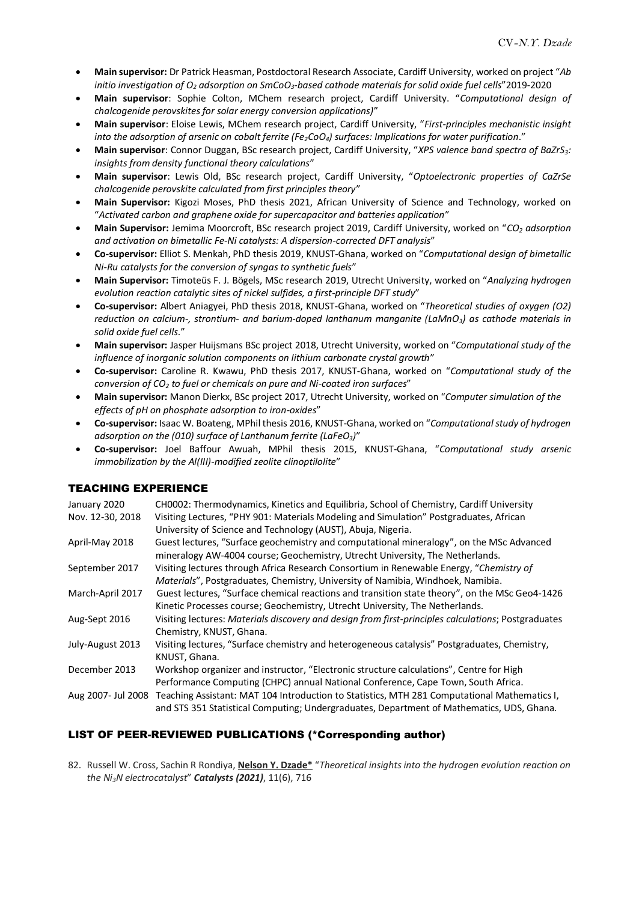- **Main supervisor:** Dr Patrick Heasman, Postdoctoral Research Associate, Cardiff University, worked on project "*Ab initio investigation of O<sup>2</sup> adsorption on SmCoO3-based cathode materials for solid oxide fuel cells*"2019-2020
- **Main supervisor**: Sophie Colton, MChem research project, Cardiff University. "*Computational design of chalcogenide perovskites for solar energy conversion applications)*"
- **Main supervisor**: Eloise Lewis, MChem research project, Cardiff University, "*First-principles mechanistic insight into the adsorption of arsenic on cobalt ferrite (Fe2CoO4) surfaces: Implications for water purification*."
- **Main supervisor**: Connor Duggan, BSc research project, Cardiff University, "*XPS valence band spectra of BaZrS3: insights from density functional theory calculations*"
- **Main supervisor**: Lewis Old, BSc research project, Cardiff University, "*Optoelectronic properties of CaZrSe chalcogenide perovskite calculated from first principles theory*"
- **Main Supervisor:** Kigozi Moses, PhD thesis 2021, African University of Science and Technology, worked on "*Activated carbon and graphene oxide for supercapacitor and batteries application*"
- **Main Supervisor:** Jemima Moorcroft, BSc research project 2019, Cardiff University, worked on "*CO<sup>2</sup> adsorption and activation on bimetallic Fe-Ni catalysts: A dispersion-corrected DFT analysis*"
- **Co-supervisor:** Elliot S. Menkah, PhD thesis 2019, KNUST-Ghana, worked on "*Computational design of bimetallic Ni-Ru catalysts for the conversion of syngas to synthetic fuels*"
- **Main Supervisor:** Timoteüs F. J. Bögels, MSc research 2019, Utrecht University, worked on "*Analyzing hydrogen evolution reaction catalytic sites of nickel sulfides, a first-principle DFT study*"
- **Co-supervisor:** Albert Aniagyei, PhD thesis 2018, KNUST-Ghana, worked on "*Theoretical studies of oxygen (O2) reduction on calcium-, strontium- and barium-doped lanthanum manganite (LaMnO3) as cathode materials in solid oxide fuel cells*."
- **Main supervisor:** Jasper Huijsmans BSc project 2018, Utrecht University, worked on "*Computational study of the influence of inorganic solution components on lithium carbonate crystal growth*"
- **Co-supervisor:** Caroline R. Kwawu, PhD thesis 2017, KNUST-Ghana, worked on "*Computational study of the conversion of CO<sup>2</sup> to fuel or chemicals on pure and Ni-coated iron surfaces*"
- **Main supervisor:** Manon Dierkx, BSc project 2017, Utrecht University, worked on "*Computer simulation of the effects of pH on phosphate adsorption to iron-oxides*"
- **Co-supervisor:** Isaac W. Boateng, MPhil thesis 2016, KNUST-Ghana, worked on "*Computational study of hydrogen adsorption on the (010) surface of Lanthanum ferrite (LaFeO3)*"
- **Co-supervisor:** Joel Baffour Awuah, MPhil thesis 2015, KNUST-Ghana, "*Computational study arsenic immobilization by the Al(III)-modified zeolite clinoptilolite*"

# TEACHING EXPERIENCE

| January 2020<br>Nov. 12-30, 2018 | CH0002: Thermodynamics, Kinetics and Equilibria, School of Chemistry, Cardiff University<br>Visiting Lectures, "PHY 901: Materials Modeling and Simulation" Postgraduates, African<br>University of Science and Technology (AUST), Abuja, Nigeria. |
|----------------------------------|----------------------------------------------------------------------------------------------------------------------------------------------------------------------------------------------------------------------------------------------------|
| April-May 2018                   | Guest lectures, "Surface geochemistry and computational mineralogy", on the MSc Advanced<br>mineralogy AW-4004 course; Geochemistry, Utrecht University, The Netherlands.                                                                          |
| September 2017                   | Visiting lectures through Africa Research Consortium in Renewable Energy, "Chemistry of<br>Materials", Postgraduates, Chemistry, University of Namibia, Windhoek, Namibia.                                                                         |
| March-April 2017                 | Guest lectures, "Surface chemical reactions and transition state theory", on the MSc Geo4-1426<br>Kinetic Processes course; Geochemistry, Utrecht University, The Netherlands.                                                                     |
| Aug-Sept 2016                    | Visiting lectures: Materials discovery and design from first-principles calculations; Postgraduates<br>Chemistry, KNUST, Ghana.                                                                                                                    |
| July-August 2013                 | Visiting lectures, "Surface chemistry and heterogeneous catalysis" Postgraduates, Chemistry,<br>KNUST, Ghana.                                                                                                                                      |
| December 2013                    | Workshop organizer and instructor, "Electronic structure calculations", Centre for High<br>Performance Computing (CHPC) annual National Conference, Cape Town, South Africa.                                                                       |
| Aug 2007- Jul 2008               | Teaching Assistant: MAT 104 Introduction to Statistics, MTH 281 Computational Mathematics I,<br>and STS 351 Statistical Computing; Undergraduates, Department of Mathematics, UDS, Ghana.                                                          |

# LIST OF PEER-REVIEWED PUBLICATIONS (\*Corresponding author)

82. Russell W. Cross, Sachin R Rondiya, **Nelson Y. Dzade\*** "*Theoretical insights into the hydrogen evolution reaction on the Ni3N electrocatalyst*" *Catalysts (2021)*, 11(6), 716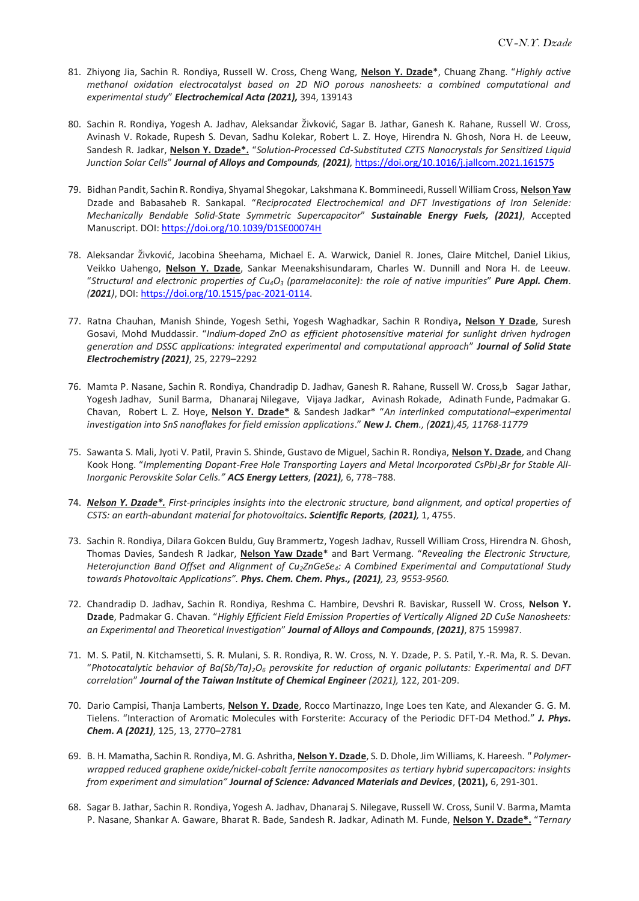- 81. Zhiyong Jia, Sachin R. Rondiya, Russell W. Cross, Cheng Wang, **Nelson Y. Dzade**\*, Chuang Zhang. "*Highly active methanol oxidation electrocatalyst based on 2D NiO porous nanosheets: a combined computational and experimental study*" *Electrochemical Acta (2021),* 394, 139143
- 80. Sachin R. Rondiya, Yogesh A. Jadhav, Aleksandar Živković, Sagar B. Jathar, Ganesh K. Rahane, Russell W. Cross, Avinash V. Rokade, Rupesh S. Devan, Sadhu Kolekar, Robert L. Z. Hoye, Hirendra N. Ghosh, Nora H. de Leeuw, Sandesh R. Jadkar, **Nelson Y. Dzade\*.** "*Solution-Processed Cd-Substituted CZTS Nanocrystals for Sensitized Liquid Junction Solar Cells*" *Journal of Alloys and Compounds, (2021),* <https://doi.org/10.1016/j.jallcom.2021.161575>
- 79. Bidhan Pandit, Sachin R. Rondiya, Shyamal Shegokar, Lakshmana K. Bommineedi, Russell William Cross, **Nelson Yaw** Dzade and Babasaheb R. Sankapal. "*Reciprocated Electrochemical and DFT Investigations of Iron Selenide: Mechanically Bendable Solid-State Symmetric Supercapacitor*" *Sustainable Energy Fuels, (2021)*, Accepted Manuscript. DOI[: https://doi.org/10.1039/D1SE00074H](https://doi.org/10.1039/D1SE00074H)
- 78. Aleksandar Živković, Jacobina Sheehama, Michael E. A. Warwick, Daniel R. Jones, Claire Mitchel, Daniel Likius, Veikko Uahengo, **Nelson Y. Dzade**, Sankar Meenakshisundaram, Charles W. Dunnill and Nora H. de Leeuw. "*Structural and electronic properties of Cu4O<sup>3</sup> (paramelaconite): the role of native impurities*" *Pure Appl. Chem*. *(2021)*, DOI: [https://doi.org/10.1515/pac-2021-0114.](https://doi.org/10.1515/pac-2021-0114)
- 77. Ratna Chauhan, Manish Shinde, Yogesh Sethi, Yogesh Waghadkar, Sachin R Rondiya**, Nelson Y Dzade**, Suresh Gosavi, Mohd Muddassir. "*Indium-doped ZnO as efficient photosensitive material for sunlight driven hydrogen generation and DSSC applications: integrated experimental and computational approach*" *Journal of Solid State Electrochemistry (2021)*, 25, 2279–2292
- 76. Mamta P. Nasane, Sachin R. Rondiya, Chandradip D. Jadhav, Ganesh R. Rahane, Russell W. Cross,b Sagar Jathar, Yogesh Jadhav, Sunil Barma, Dhanaraj Nilegave, Vijaya Jadkar, Avinash Rokade, Adinath Funde, Padmakar G. Chavan, Robert L. Z. Hoye, **Nelson Y. Dzade\*** & Sandesh Jadkar\* "*An interlinked computational–experimental investigation into SnS nanoflakes for field emission applications*." *New J. Chem., (2021),45, 11768-11779*
- 75. Sawanta S. Mali, Jyoti V. Patil, Pravin S. Shinde, Gustavo de Miguel, Sachin R. Rondiya, **Nelson Y. Dzade**, and Chang Kook Hong. "Implementing Dopant-Free Hole Transporting Layers and Metal Incorporated CsPbI<sub>2</sub>Br for Stable All-*Inorganic Perovskite Solar Cells." ACS Energy Letters, (2021),* 6, 778−788.
- 74. *Nelson Y. Dzade\*. First-principles insights into the electronic structure, band alignment, and optical properties of CSTS: an earth-abundant material for photovoltaics. Scientific Reports, (2021),* 1, 4755.
- 73. Sachin R. Rondiya, Dilara Gokcen Buldu, Guy Brammertz, Yogesh Jadhav, Russell William Cross, Hirendra N. Ghosh, Thomas Davies, Sandesh R Jadkar, **Nelson Yaw Dzade**\* and Bart Vermang. "*Revealing the Electronic Structure, Heterojunction Band Offset and Alignment of Cu2ZnGeSe4: A Combined Experimental and Computational Study towards Photovoltaic Applications". Phys. Chem. Chem. Phys., (2021), 23, 9553-9560.*
- 72. Chandradip D. Jadhav, Sachin R. Rondiya, Reshma C. Hambire, Devshri R. Baviskar, Russell W. Cross, **Nelson Y. Dzade**, Padmakar G. Chavan. "*Highly Efficient Field Emission Properties of Vertically Aligned 2D CuSe Nanosheets: an Experimental and Theoretical Investigation*" *Journal of Alloys and Compounds*, *(2021)*, 875 159987.
- 71. M. S. Patil, N. Kitchamsetti, S. R. Mulani, S. R. Rondiya, R. W. Cross, N. Y. Dzade, P. S. Patil, Y.-R. Ma, R. S. Devan. "*Photocatalytic behavior of Ba(Sb/Ta)2O<sup>6</sup> perovskite for reduction of organic pollutants: Experimental and DFT correlation*" *Journal of the Taiwan Institute of Chemical Engineer (2021),* 122, 201-209.
- 70. Dario Campisi, Thanja Lamberts, **Nelson Y. Dzade**, Rocco Martinazzo, Inge Loes ten Kate, and Alexander G. G. M. Tielens. "Interaction of Aromatic Molecules with Forsterite: Accuracy of the Periodic DFT-D4 Method." *J. Phys. Chem. A (2021)*, 125, 13, 2770–2781
- 69. B. H. Mamatha, Sachin R. Rondiya, M. G. Ashritha, **Nelson Y. Dzade**, S. D. Dhole, Jim Williams, K. Hareesh. *" Polymerwrapped reduced graphene oxide/nickel-cobalt ferrite nanocomposites as tertiary hybrid supercapacitors: insights from experiment and simulation" Journal of Science: Advanced Materials and Devices*, **(2021),** 6, 291-301.
- 68. Sagar B. Jathar, Sachin R. Rondiya, Yogesh A. Jadhav, Dhanaraj S. Nilegave, Russell W. Cross, Sunil V. Barma, Mamta P. Nasane, Shankar A. Gaware, Bharat R. Bade, Sandesh R. Jadkar, Adinath M. Funde, **Nelson Y. Dzade\*.** "*Ternary*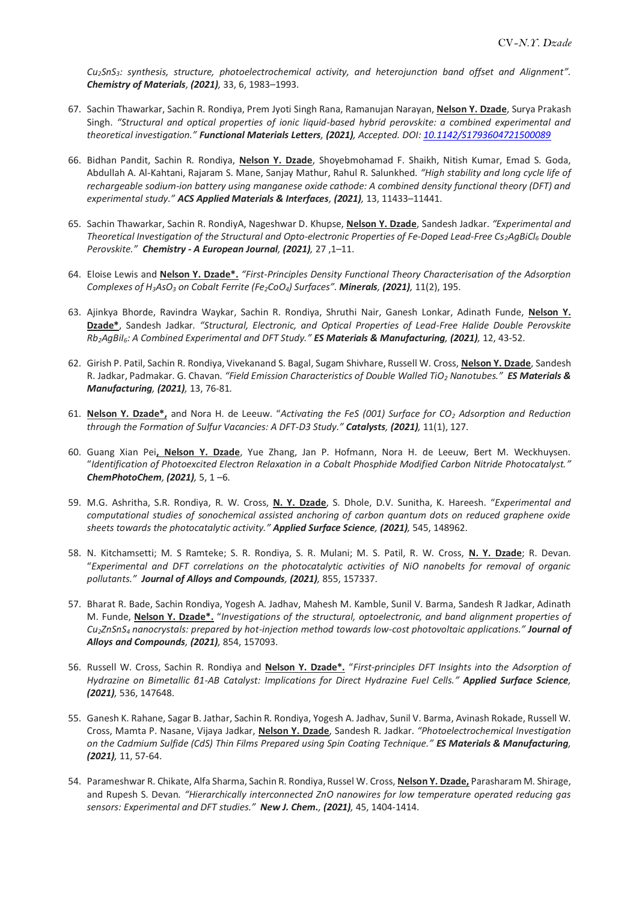*Cu2SnS3: synthesis, structure, photoelectrochemical activity, and heterojunction band offset and Alignment". Chemistry of Materials, (2021),* 33, 6, 1983–1993.

- 67. Sachin Thawarkar, Sachin R. Rondiya, Prem Jyoti Singh Rana, Ramanujan Narayan, **Nelson Y. Dzade**, Surya Prakash Singh. *"Structural and optical properties of ionic liquid-based hybrid perovskite: a combined experimental and theoretical investigation." Functional Materials Letters, (2021), Accepted. DOI: 10.1142/S1793604721500089*
- 66. Bidhan Pandit, Sachin R. Rondiya, **Nelson Y. Dzade**, Shoyebmohamad F. Shaikh, Nitish Kumar, Emad S. Goda, Abdullah A. Al-Kahtani, Rajaram S. Mane, Sanjay Mathur, Rahul R. Salunkhed. *"High stability and long cycle life of rechargeable sodium-ion battery using manganese oxide cathode: A combined density functional theory (DFT) and experimental study." ACS Applied Materials & Interfaces, (2021),* 13, 11433–11441.
- 65. Sachin Thawarkar, Sachin R. RondiyA, Nageshwar D. Khupse, **Nelson Y. Dzade**, Sandesh Jadkar. *"Experimental and Theoretical Investigation of the Structural and Opto‐electronic Properties of Fe‐Doped Lead‐Free Cs2AgBiCl<sup>6</sup> Double Perovskite." Chemistry - A European Journal, (2021),* 27 ,1–11.
- 64. Eloise Lewis and **Nelson Y. Dzade\*.** *"First-Principles Density Functional Theory Characterisation of the Adsorption Complexes of H3AsO<sup>3</sup> on Cobalt Ferrite (Fe2CoO4) Surfaces". Minerals, (2021),* 11(2), 195.
- 63. Ajinkya Bhorde, Ravindra Waykar, Sachin R. Rondiya, Shruthi Nair, Ganesh Lonkar, Adinath Funde, **Nelson Y. Dzade\***, Sandesh Jadkar*. "Structural, Electronic, and Optical Properties of Lead-Free Halide Double Perovskite Rb2AgBiI6: A Combined Experimental and DFT Study." ES Materials & Manufacturing, (2021),* 12, 43-52.
- 62. Girish P. Patil, Sachin R. Rondiya, Vivekanand S. Bagal, Sugam Shivhare, Russell W. Cross, **Nelson Y. Dzade**, Sandesh R. Jadkar, Padmakar. G. Chavan. *"Field Emission Characteristics of Double Walled TiO<sup>2</sup> Nanotubes." ES Materials & Manufacturing, (2021),* 13, 76-81*.*
- 61. **Nelson Y. Dzade\*,** and Nora H. de Leeuw. "*Activating the FeS (001) Surface for CO<sup>2</sup> Adsorption and Reduction through the Formation of Sulfur Vacancies: A DFT-D3 Study." Catalysts, (2021),* 11(1), 127.
- 60. Guang Xian Pei**, Nelson Y. Dzade**, Yue Zhang, Jan P. Hofmann, Nora H. de Leeuw, Bert M. Weckhuysen. "*Identification of Photoexcited Electron Relaxation in a Cobalt Phosphide Modified Carbon Nitride Photocatalyst." ChemPhotoChem, (2021),* 5, 1 –6.
- 59. M.G. Ashritha, S.R. Rondiya, R. W. Cross, **N. Y. Dzade**, S. Dhole, D.V. Sunitha, K. Hareesh. "*Experimental and computational studies of sonochemical assisted anchoring of carbon quantum dots on reduced graphene oxide sheets towards the photocatalytic activity." Applied Surface Science, (2021),* 545, 148962.
- 58. N. Kitchamsetti; M. S Ramteke; S. R. Rondiya, S. R. Mulani; M. S. Patil, R. W. Cross, **N. Y. Dzade**; R. Devan. "*Experimental and DFT correlations on the photocatalytic activities of NiO nanobelts for removal of organic pollutants." Journal of Alloys and Compounds, (2021),* 855, 157337.
- 57. Bharat R. Bade, Sachin Rondiya, Yogesh A. Jadhav, Mahesh M. Kamble, Sunil V. Barma, Sandesh R Jadkar, Adinath M. Funde, **Nelson Y. Dzade\*.** "*Investigations of the structural, optoelectronic, and band alignment properties of Cu2ZnSnS<sup>4</sup> nanocrystals: prepared by hot-injection method towards low-cost photovoltaic applications." Journal of Alloys and Compounds, (2021),* 854, 157093.
- 56. Russell W. Cross, Sachin R. Rondiya and **Nelson Y. Dzade\*.** "*First-principles DFT Insights into the Adsorption of Hydrazine on Bimetallic β1-AB Catalyst: Implications for Direct Hydrazine Fuel Cells." Applied Surface Science, (2021),* 536, 147648.
- 55. Ganesh K. Rahane, Sagar B. Jathar, Sachin R. Rondiya, Yogesh A. Jadhav, Sunil V. Barma, Avinash Rokade, Russell W. Cross, Mamta P. Nasane, Vijaya Jadkar, **Nelson Y. Dzade**, Sandesh R. Jadkar. *"Photoelectrochemical Investigation on the Cadmium Sulfide (CdS) Thin Films Prepared using Spin Coating Technique." ES Materials & Manufacturing, (2021),* 11, 57-64.
- 54. Parameshwar R. Chikate, Alfa Sharma, Sachin R. Rondiya, Russel W. Cross, **Nelson Y. Dzade,** Parasharam M. Shirage, and Rupesh S. Devan*. "Hierarchically interconnected ZnO nanowires for low temperature operated reducing gas sensors: Experimental and DFT studies." New J. Chem., (2021),* 45, 1404-1414.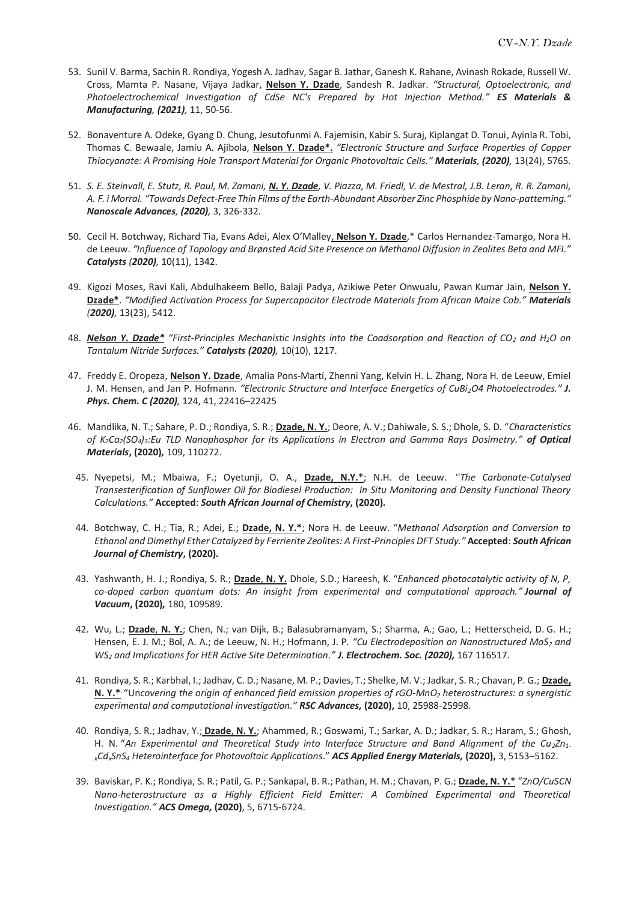- 53. Sunil V. Barma, Sachin R. Rondiya, Yogesh A. Jadhav, Sagar B. Jathar, Ganesh K. Rahane, Avinash Rokade, Russell W. Cross, Mamta P. Nasane, Vijaya Jadkar, **Nelson Y. Dzade**, Sandesh R. Jadkar. *"Structural, Optoelectronic, and Photoelectrochemical Investigation of CdSe NC's Prepared by Hot Injection Method." ES Materials & Manufacturing, (2021),* 11, 50-56.
- 52. Bonaventure A. Odeke, Gyang D. Chung, Jesutofunmi A. Fajemisin, Kabir S. Suraj, Kiplangat D. Tonui, Ayinla R. Tobi, Thomas C. Bewaale, Jamiu A. Ajibola, **Nelson Y. Dzade\*.** *"Electronic Structure and Surface Properties of Copper Thiocyanate: A Promising Hole Transport Material for Organic Photovoltaic Cells." Materials, (2020),* 13(24), 5765.
- 51. *S. E. Steinvall, E. Stutz, R. Paul, M. Zamani, N. Y. Dzade, V. Piazza, M. Friedl, V. de Mestral, J.B. Leran, R. R. Zamani, A. F. i Morral. "Towards Defect-Free Thin Films of the Earth-Abundant Absorber Zinc Phosphide by Nano-patterning." Nanoscale Advances, (2020),* 3, 326-332.
- 50. Cecil H. Botchway, Richard Tia, Evans Adei, Alex O'Malley, **Nelson Y. Dzade**,\* Carlos Hernandez-Tamargo, Nora H. de Leeuw. *"Influence of Topology and Brønsted Acid Site Presence on Methanol Diffusion in Zeolites Beta and MFI." Catalysts (2020),* 10(11), 1342.
- 49. Kigozi Moses, Ravi Kali, Abdulhakeem Bello, Balaji Padya, Azikiwe Peter Onwualu, Pawan Kumar Jain, **Nelson Y. Dzade\***. *"Modified Activation Process for Supercapacitor Electrode Materials from African Maize Cob." Materials (2020),* 13(23), 5412.
- 48. *Nelson Y. Dzade\* "First-Principles Mechanistic Insights into the Coadsorption and Reaction of CO<sup>2</sup> and H2O on Tantalum Nitride Surfaces." Catalysts (2020),* 10(10), 1217.
- 47. Freddy E. Oropeza, **Nelson Y. Dzade**, Amalia Pons-Martí, Zhenni Yang, Kelvin H. L. Zhang, Nora H. de Leeuw, Emiel J. M. Hensen, and Jan P. Hofmann. *"Electronic Structure and Interface Energetics of CuBi2O4 Photoelectrodes." J. Phys. Chem. C (2020),* 124, 41, 22416–22425
- 46. Mandlika, N. T.; Sahare, P. D.; Rondiya, S. R.; **Dzade, N. Y.**; Deore, A. V.; Dahiwale, S. S.; Dhole, S. D. "*Characteristics of K2Ca2(SO4)3:Eu TLD Nanophosphor for its Applications in Electron and Gamma Rays Dosimetry." of Optical Materials***, (2020)***,* 109, 110272.
- 45. Nyepetsi, M.; Mbaiwa, F.; Oyetunji, O. A., **Dzade, N.Y.\***; N.H. de Leeuw. *"The Carbonate-Catalysed Transesterification of Sunflower Oil for Biodiesel Production: In Situ Monitoring and Density Functional Theory Calculations."* **Accepted**: *South African Journal of Chemistry***, (2020)***.*
- 44. Botchway, C. H.; Tia, R.; Adei, E.; **Dzade, N. Y.\***; Nora H. de Leeuw. "*Methanol Adsorption and Conversion to Ethanol and Dimethyl Ether Catalyzed by Ferrierite Zeolites: A First-Principles DFT Study."* **Accepted**: *South African Journal of Chemistry***, (2020)***.*
- 43. Yashwanth, H. J.; Rondiya, S. R.; **Dzade**, **N. Y.** Dhole, S.D.; Hareesh, K. "*Enhanced photocatalytic activity of N, P, co-doped carbon quantum dots: An insight from experimental and computational approach." Journal of Vacuum***, (2020)***,* 180, 109589.
- 42. Wu, L.; **Dzade**, **N. Y.**; Chen, N.; van Dijk, B.; Balasubramanyam, S.; Sharma, A.; Gao, L.; Hetterscheid, D. G. H.; Hensen, E. J. M.; Bol, A. A.; de Leeuw, N. H.; Hofmann, J. P. *"Cu Electrodeposition on Nanostructured MoS<sup>2</sup> and WS<sup>2</sup> and Implications for HER Active Site Determination." J. Electrochem. Soc. (2020),* 167 116517.
- 41. Rondiya, S. R.; Karbhal, I.; Jadhav, C. D.; Nasane, M. P.; Davies, T.; Shelke, M. V.; Jadkar, S. R.; Chavan, P. G.; **Dzade, N. Y.\*** . "Un*covering the origin of enhanced field emission properties of rGO-MnO<sup>2</sup> heterostructures: a synergistic experimental and computational investigation." RSC Advances,* **(2020),** 10, 25988-25998.
- 40. Rondiya, S. R.; Jadhav, Y.; **Dzade**, **N. Y.**; Ahammed, R.; Goswami, T.; Sarkar, A. D.; Jadkar, S. R.; Haram, S.; Ghosh, H. N. "*An Experimental and Theoretical Study into Interface Structure and Band Alignment of the Cu2Zn1 <sup>x</sup>CdxSnS<sup>4</sup> Heterointerface for Photovoltaic Applications*." *ACS Applied Energy Materials,* **(2020),** 3, 5153–5162.
- 39. Baviskar, P. K.; Rondiya, S. R.; Patil, G. P.; Sankapal, B. R.; Pathan, H. M.; Chavan, P. G.; **Dzade, N. Y.\*** "*ZnO/CuSCN Nano-heterostructure as a Highly Efficient Field Emitter: A Combined Experimental and Theoretical Investigation." ACS Omega,* **(2020)**, 5, 6715-6724.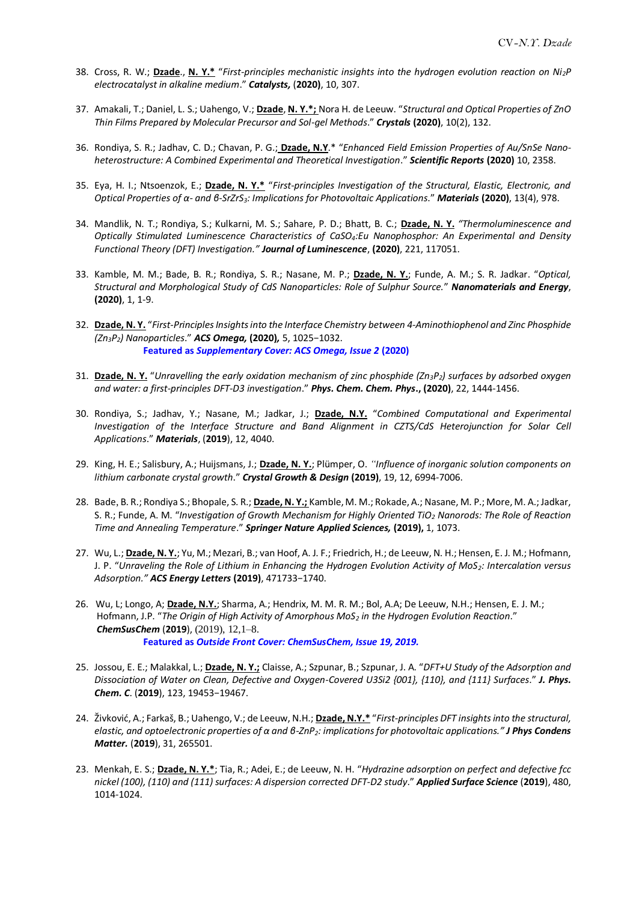- 38. Cross, R. W.; **Dzade**., **N. Y.\*** "*First-principles mechanistic insights into the hydrogen evolution reaction on Ni2P electrocatalyst in alkaline medium*." *Catalysts,* (**2020)**, 10, 307.
- 37. Amakali, T.; Daniel, L. S.; Uahengo, V.; **Dzade**, **N. Y.\*;** Nora H. de Leeuw. "*Structural and Optical Properties of ZnO Thin Films Prepared by Molecular Precursor and Sol-gel Methods*." *Crystals* **(2020)**, 10(2), 132.
- 36. Rondiya, S. R.; Jadhav, C. D.; Chavan, P. G.; **Dzade, N.Y**.\* "*Enhanced Field Emission Properties of Au/SnSe Nanoheterostructure: A Combined Experimental and Theoretical Investigation*." *Scientific Reports* **(2020)** 10, 2358.
- 35. Eya, H. I.; Ntsoenzok, E.; **Dzade, N. Y.\*** "*First-principles Investigation of the Structural, Elastic, Electronic, and Optical Properties of α- and β-SrZrS3: Implications for Photovoltaic Applications*." *Materials* **(2020)**, 13(4), 978.
- 34. Mandlik, N. T.; Rondiya, S.; Kulkarni, M. S.; Sahare, P. D.; Bhatt, B. C.; **Dzade, N. Y.** *"Thermoluminescence and Optically Stimulated Luminescence Characteristics of CaSO4:Eu Nanophosphor: An Experimental and Density Functional Theory (DFT) Investigation." Journal of Luminescence*, **(2020)**, 221, 117051.
- 33. Kamble, M. M.; Bade, B. R.; Rondiya, S. R.; Nasane, M. P.; **Dzade, N. Y.**; Funde, A. M.; S. R. Jadkar. "*Optical, Structural and Morphological Study of CdS Nanoparticles: Role of Sulphur Source.*" *Nanomaterials and Energy*, **(2020)**, 1, 1-9.
- 32. **Dzade, N. Y.** "*First-Principles Insights into the Interface Chemistry between 4-Aminothiophenol and Zinc Phosphide (Zn3P2) Nanoparticles*." *ACS Omega,* **(2020)***,* 5, 1025−1032. **Featured as** *Supplementary Cover: ACS Omega, Issue 2* **(2020)**
- 31. **Dzade, N. Y.** "*Unravelling the early oxidation mechanism of zinc phosphide (Zn3P2) surfaces by adsorbed oxygen and water: a first-principles DFT-D3 investigation*." *Phys. Chem. Chem. Phys***., (2020)**, 22, 1444-1456.
- 30. Rondiya, S.; Jadhav, Y.; Nasane, M.; Jadkar, J.; **Dzade, N.Y.** "*Combined Computational and Experimental Investigation of the Interface Structure and Band Alignment in CZTS/CdS Heterojunction for Solar Cell Applications*." *Materials*, (**2019**), 12, 4040.
- 29. King, H. E.; Salisbury, A.; Huijsmans, J.; **Dzade, N. Y.**; Plümper, O. *"Influence of inorganic solution components on lithium carbonate crystal growth*." *Crystal Growth & Design* **(2019)**, 19, 12, 6994-7006.
- 28. Bade, B. R.; Rondiya S.; Bhopale, S. R.; **Dzade, N. Y.;** Kamble, M. M.; Rokade, A.; Nasane, M. P.; More, M. A.; Jadkar, S. R.; Funde, A. M. "*Investigation of Growth Mechanism for Highly Oriented TiO<sup>2</sup> Nanorods: The Role of Reaction Time and Annealing Temperature*." *Springer Nature Applied Sciences,* **(2019),** 1, 1073.
- 27. Wu, L.; **Dzade, N. Y.**; Yu, M.; Mezari, B.; van Hoof, A. J. F.; Friedrich, H.; de Leeuw, N. H.; Hensen, E. J. M.; Hofmann, J. P. "*Unraveling the Role of Lithium in Enhancing the Hydrogen Evolution Activity of MoS2: Intercalation versus Adsorption." ACS Energy Letters* **(2019)**, 471733−1740.
- 26. Wu, L; Longo, A; **Dzade, N.Y.**; Sharma, A.; Hendrix, M. M. R. M.; Bol, A.A; De Leeuw, N.H.; Hensen, E. J. M.; Hofmann, J.P. "*The Origin of High Activity of Amorphous MoS<sup>2</sup> in the Hydrogen Evolution Reaction*." *ChemSusChem* (**2019**), (2019), 12,1–8. **Featured as** *Outside Front Cover: ChemSusChem, Issue 19, 2019.*
- 25. Jossou, E. E.; Malakkal, L.; **Dzade, N. Y.;** Claisse, A.; Szpunar, B.; Szpunar, J. A. "*DFT+U Study of the Adsorption and Dissociation of Water on Clean, Defective and Oxygen-Covered U3Si2 {001}, {110}, and {111} Surfaces*." *J. Phys. Chem. C*. (**2019**), 123, 19453−19467.
- 24. Živković, A.; Farkaš, B.; Uahengo, V.; de Leeuw, N.H.; **Dzade, N.Y.\*** "*First-principles DFT insights into the structural, elastic, and optoelectronic properties of α and β-ZnP2: implications for photovoltaic applications." J Phys Condens Matter.* (**2019**), 31, 265501.
- 23. Menkah, E. S.; **Dzade, N. Y.\***; Tia, R.; Adei, E.; de Leeuw, N. H. "*Hydrazine adsorption on perfect and defective fcc nickel (100), (110) and (111) surfaces: A dispersion corrected DFT-D2 study*." *Applied Surface Science* (**2019**), 480, 1014-1024.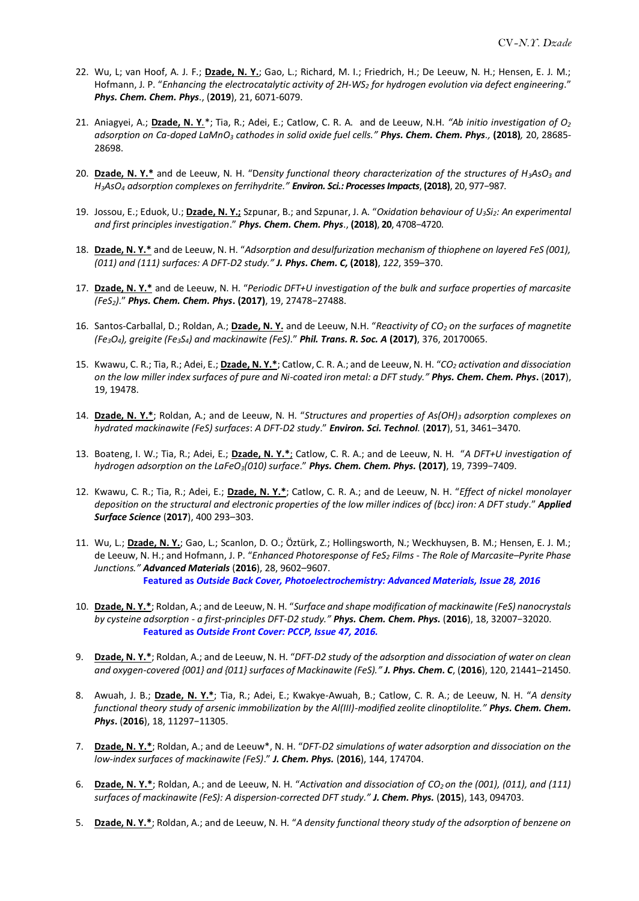- 22. Wu, L; van Hoof, A. J. F.; **Dzade, N. Y.**; Gao, L.; Richard, M. I.; Friedrich, H.; De Leeuw, N. H.; Hensen, E. J. M.; Hofmann, J. P. "*Enhancing the electrocatalytic activity of 2H-WS<sup>2</sup> for hydrogen evolution via defect engineering*." *Phys. Chem. Chem. Phys*., (**2019**), 21, 6071-6079.
- 21. Aniagyei, A.; **Dzade, N. Y***.*\*; Tia, R.; Adei, E.; Catlow, C. R. A. and de Leeuw, N.H. *"Ab initio investigation of O<sup>2</sup> adsorption on Ca-doped LaMnO<sup>3</sup> cathodes in solid oxide fuel cells." Phys. Chem. Chem. Phys.,* **(2018)***,* 20, 28685- 28698.
- 20. **Dzade, N. Y.\*** and de Leeuw, N. H. "D*ensity functional theory characterization of the structures of H3AsO<sup>3</sup> and H3AsO<sup>4</sup> adsorption complexes on ferrihydrite." Environ. Sci.: Processes Impacts*, **(2018)**, 20, 977−987.
- 19. Jossou, E.; Eduok, U.; **Dzade, N. Y.;** Szpunar, B.; and Szpunar, J. A. "*Oxidation behaviour of U3Si2: An experimental and first principles investigation*." *Phys. Chem. Chem. Phys*., **(2018)**, **20**, 4708−4720.
- 18. **Dzade, N. Y.\*** and de Leeuw, N. H. "*Adsorption and desulfurization mechanism of thiophene on layered FeS (001), (011) and (111) surfaces: A DFT-D2 study." J. Phys. Chem. C,* **(2018)**, *122*, 359–370.
- 17. **Dzade, N. Y.\*** and de Leeuw, N. H. "*Periodic DFT+U investigation of the bulk and surface properties of marcasite (FeS2)*." *Phys. Chem. Chem. Phys***. (2017)**, 19, 27478−27488.
- 16. Santos-Carballal, D.; Roldan, A.; **Dzade, N. Y.** and de Leeuw, N.H. "*Reactivity of CO<sup>2</sup> on the surfaces of magnetite (Fe3O4), greigite (Fe3S4) and mackinawite (FeS)*." *Phil. Trans. R. Soc. A* **(2017)**, 376, 20170065.
- 15. Kwawu, C. R.; Tia, R.; Adei, E.; **Dzade, N. Y.\***; Catlow, C. R. A.; and de Leeuw, N. H. "*CO<sup>2</sup> activation and dissociation on the low miller index surfaces of pure and Ni-coated iron metal: a DFT study." Phys. Chem. Chem. Phys***.** (**2017**), 19, 19478.
- 14. **Dzade, N. Y.\***; Roldan, A.; and de Leeuw, N. H. "*Structures and properties of As(OH)<sup>3</sup> adsorption complexes on hydrated mackinawite (FeS) surfaces*: *A DFT-D2 study*." *Environ. Sci. Technol.* (**2017**), 51, 3461–3470.
- 13. Boateng, I. W.; Tia, R.; Adei, E.; **Dzade, N. Y.\***; Catlow, C. R. A.; and de Leeuw, N. H. "*A DFT+U investigation of hydrogen adsorption on the LaFeO3(010) surface*." *Phys. Chem. Chem. Phys.* **(2017)**, 19, 7399−7409.
- 12. Kwawu, C. R.; Tia, R.; Adei, E.; **Dzade, N. Y.\***; Catlow, C. R. A.; and de Leeuw, N. H. "*Effect of nickel monolayer deposition on the structural and electronic properties of the low miller indices of (bcc) iron: A DFT study*." *Applied Surface Science* (**2017**), 400 293–303.
- 11. Wu, L.; **Dzade, N. Y.**; Gao, L.; Scanlon, D. O.; Öztürk, Z.; Hollingsworth, N.; Weckhuysen, B. M.; Hensen, E. J. M.; de Leeuw, N. H.; and Hofmann, J. P. "*Enhanced Photoresponse of FeS<sup>2</sup> Films - The Role of Marcasite–Pyrite Phase Junctions." Advanced Materials* (**2016**), 28, 9602–9607. **Featured as** *Outside Back Cover, Photoelectrochemistry: Advanced Materials, Issue 28, 2016*
- 10. **Dzade, N. Y.\***; Roldan, A.; and de Leeuw, N. H. "*Surface and shape modification of mackinawite (FeS) nanocrystals by cysteine adsorption - a first-principles DFT-D2 study." Phys. Chem. Chem. Phys.* (**2016**), 18, 32007−32020. **Featured as** *Outside Front Cover: PCCP, Issue 47, 2016.*
- 9. **Dzade, N. Y.\***; Roldan, A.; and de Leeuw, N. H. "*DFT-D2 study of the adsorption and dissociation of water on clean and oxygen-covered {001} and {011} surfaces of Mackinawite (FeS)." J. Phys. Chem. C*, (**2016**), 120, 21441–21450.
- 8. Awuah, J. B.; **Dzade, N. Y.\***; Tia, R.; Adei, E.; Kwakye-Awuah, B.; Catlow, C. R. A.; de Leeuw, N. H. "*A density functional theory study of arsenic immobilization by the Al(III)-modified zeolite clinoptilolite." Phys. Chem. Chem. Phys***.** (**2016**), 18, 11297−11305.
- 7. **Dzade, N. Y.\***; Roldan, A.; and de Leeuw\*, N. H. "*DFT-D2 simulations of water adsorption and dissociation on the low-index surfaces of mackinawite (FeS)*." *J. Chem. Phys.* (**2016**), 144, 174704.
- 6. **Dzade, N. Y.\***; Roldan, A.; and de Leeuw, N. H. "*Activation and dissociation of CO2 on the (001), (011), and (111) surfaces of mackinawite (FeS): A dispersion-corrected DFT study." J. Chem. Phys.* (**2015**), 143, 094703.
- 5. **Dzade, N. Y.\***; Roldan, A.; and de Leeuw, N. H. "*A density functional theory study of the adsorption of benzene on*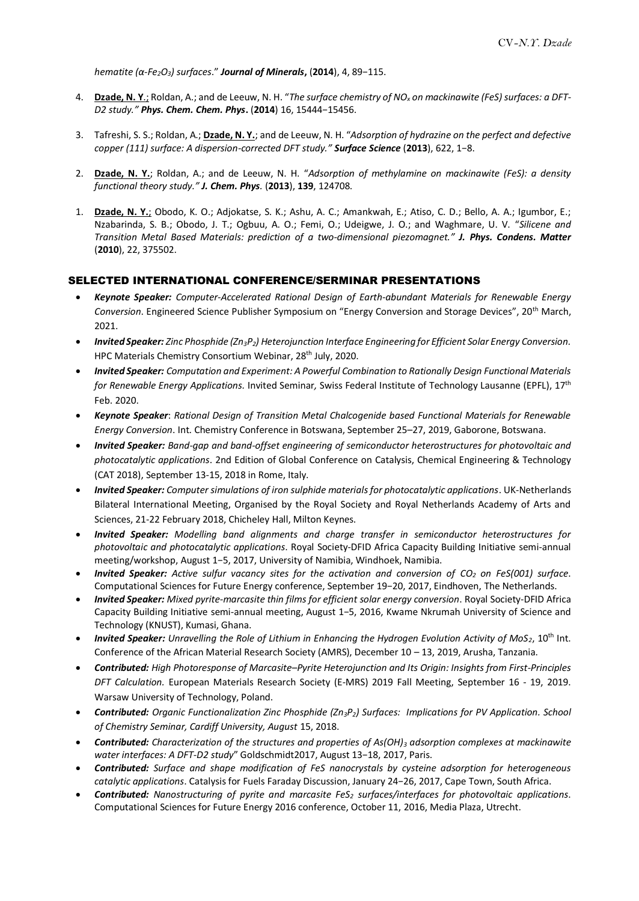*hematite (α-Fe2O3) surfaces*." *Journal of Minerals***,** (**2014**), 4, 89−115.

- 4. **Dzade, N. Y**.; Roldan, A.; and de Leeuw, N. H. "*The surface chemistry of NO<sup>x</sup> on mackinawite (FeS) surfaces: a DFT-D2 study." Phys. Chem. Chem. Phys***.** (**2014**) 16, 15444−15456.
- 3. Tafreshi, S. S.; Roldan, A.; **Dzade, N. Y.**; and de Leeuw, N. H. "*Adsorption of hydrazine on the perfect and defective copper (111) surface: A dispersion-corrected DFT study." Surface Science* (**2013**), 622, 1−8.
- 2. **Dzade, N. Y.**; Roldan, A.; and de Leeuw, N. H. "*Adsorption of methylamine on mackinawite (FeS): a density functional theory study." J. Chem. Phys.* (**2013**), **139**, 124708.
- 1. **Dzade, N. Y.**; Obodo, K. O.; Adjokatse, S. K.; Ashu, A. C.; Amankwah, E.; Atiso, C. D.; Bello, A. A.; Igumbor, E.; Nzabarinda, S. B.; Obodo, J. T.; Ogbuu, A. O.; Femi, O.; Udeigwe, J. O.; and Waghmare, U. V. "*Silicene and Transition Metal Based Materials: prediction of a two-dimensional piezomagnet." J. Phys. Condens. Matter* (**2010**), 22, 375502.

## SELECTED INTERNATIONAL CONFERENCE/SERMINAR PRESENTATIONS

- *Keynote Speaker: Computer-Accelerated Rational Design of Earth-abundant Materials for Renewable Energy Conversion*. Engineered Science Publisher Symposium on "Energy Conversion and Storage Devices", 20th March, 2021.
- *Invited Speaker: Zinc Phosphide (Zn3P2) Heterojunction Interface Engineering for Efficient Solar Energy Conversion.* HPC Materials Chemistry Consortium Webinar, 28<sup>th</sup> July, 2020.
- *Invited Speaker: Computation and Experiment: A Powerful Combination to Rationally Design Functional Materials for Renewable Energy Applications.* Invited Seminar*,* Swiss Federal Institute of Technology Lausanne (EPFL), 17th Feb. 2020.
- *Keynote Speaker*: *Rational Design of Transition Metal Chalcogenide based Functional Materials for Renewable Energy Conversion*. Int. Chemistry Conference in Botswana, September 25–27, 2019, Gaborone, Botswana.
- *Invited Speaker: Band-gap and band-offset engineering of semiconductor heterostructures for photovoltaic and photocatalytic applications*. 2nd Edition of Global Conference on Catalysis, Chemical Engineering & Technology (CAT 2018), September 13-15, 2018 in Rome, Italy.
- *Invited Speaker: Computer simulations of iron sulphide materials for photocatalytic applications*. UK-Netherlands Bilateral International Meeting, Organised by the Royal Society and Royal Netherlands Academy of Arts and Sciences, 21-22 February 2018, Chicheley Hall, Milton Keynes.
- *Invited Speaker: Modelling band alignments and charge transfer in semiconductor heterostructures for photovoltaic and photocatalytic applications*. Royal Society-DFID Africa Capacity Building Initiative semi-annual meeting/workshop, August 1−5, 2017, University of Namibia, Windhoek, Namibia.
- *Invited Speaker: Active sulfur vacancy sites for the activation and conversion of CO<sup>2</sup> on FeS(001) surface*. Computational Sciences for Future Energy conference, September 19−20, 2017, Eindhoven, The Netherlands.
- *Invited Speaker: Mixed pyrite-marcasite thin films for efficient solar energy conversion*. Royal Society-DFID Africa Capacity Building Initiative semi-annual meeting, August 1−5, 2016, Kwame Nkrumah University of Science and Technology (KNUST), Kumasi, Ghana.
- *Invited Speaker: Unravelling the Role of Lithium in Enhancing the Hydrogen Evolution Activity of MoS<sub>2</sub>, 10<sup>th</sup> Int.* Conference of the African Material Research Society (AMRS), December 10 – 13, 2019, Arusha, Tanzania.
- *Contributed: High Photoresponse of Marcasite–Pyrite Heterojunction and Its Origin: Insights from First-Principles DFT Calculation.* European Materials Research Society (E-MRS) 2019 Fall Meeting, September 16 - 19, 2019. Warsaw University of Technology, Poland.
- *Contributed: Organic Functionalization Zinc Phosphide (Zn3P2) Surfaces: Implications for PV Application. School of Chemistry Seminar, Cardiff University, August* 15, 2018.
- *Contributed: Characterization of the structures and properties of As(OH)<sup>3</sup> adsorption complexes at mackinawite water interfaces: A DFT-D2 study*" Goldschmidt2017, August 13−18, 2017, Paris.
- *Contributed: Surface and shape modification of FeS nanocrystals by cysteine adsorption for heterogeneous catalytic applications*. Catalysis for Fuels Faraday Discussion, January 24−26, 2017, Cape Town, South Africa.
- *Contributed: Nanostructuring of pyrite and marcasite FeS<sup>2</sup> surfaces/interfaces for photovoltaic applications*. Computational Sciences for Future Energy 2016 conference, October 11, 2016, Media Plaza, Utrecht.